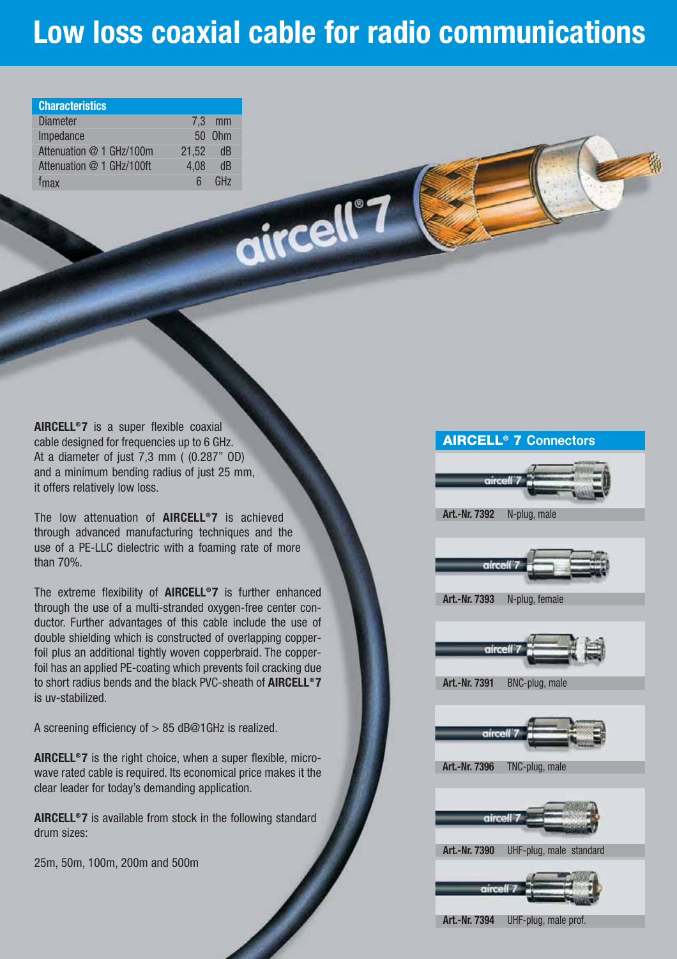# **Low loss coaxial cable for radio communications**

| <b>Characteristics</b>    |       |                 |
|---------------------------|-------|-----------------|
| <b>Diameter</b>           |       | $7.3$ mm        |
| Impedance                 |       | 50 0hm          |
| Attenuation @ 1 GHz/100m  | 21,52 | - dB            |
| Attenuation @ 1 GHz/100ft | 4,08  | dB              |
| f <sub>max</sub>          | ĥ.    | GH <sub>7</sub> |

**AIRCELL<sup>®</sup>7** is a super flexible coaxial cable designed for frequencies up to 6 GHz. At a diameter of just 7,3 mm ( (0.287" OD) and a minimum bending radius of just 25 mm, it offers relatively low loss.

The low attenuation of **AIRCELL®7** is achieved through advanced manufacturing techniques and the use of a PE-LLC dielectric with a foaming rate of more than 70%.

The extreme flexibility of **AIRCELL®7** is further enhanced through the use of a multi-stranded oxygen-free center conductor. Further advantages of this cable include the use of double shielding which is constructed of overlapping copperfoil plus an additional tightly woven copperbraid. The copperfoil has an applied PE-coating which prevents foil cracking due to short radius bends and the black PVC-sheath of **AIRCELL® 7** is uv-stabilized.

A screening efficiency of > 85 dB@1GHz is realized.

**AIRCELL® 7** is the right choice, when a super flexible, microwave rated cable is required. Its economical price makes it the clear leader for today's demanding application.

**AIRCELL® 7** is available from stock in the following standard drum sizes:

25m, 50m, 100m, 200m and 500m

### **AIRCELL® 7 Connectors**



**Art.-Nr. 7392** N-plug, male



**Art.-Nr. 7393** N-plug, female



**Art.-Nr. 7391** BNC-plug, male



**Art.-Nr. 7396** TNC-plug, male